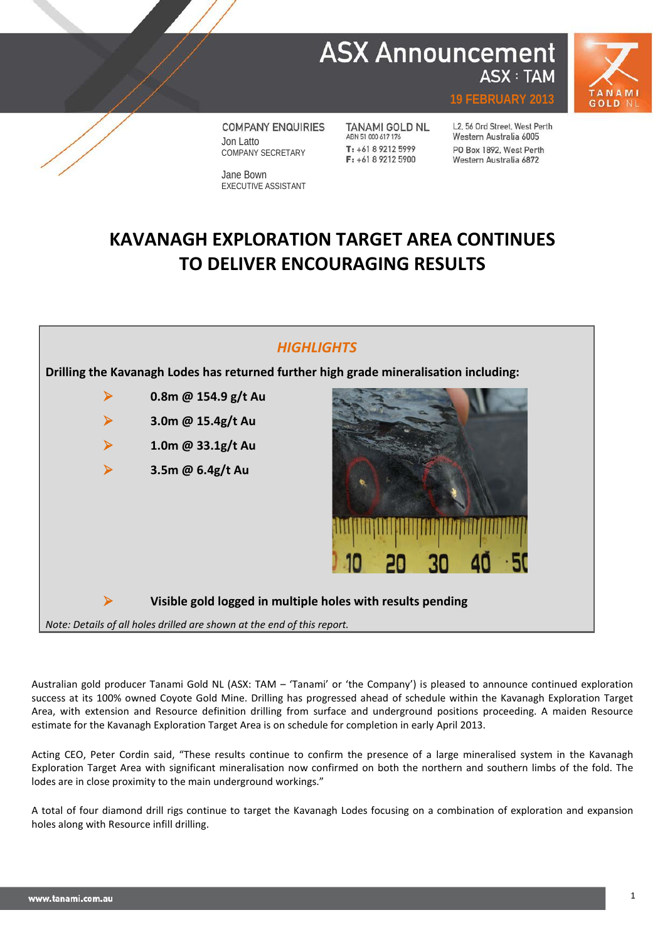# **ASX Announcement ASX: TAM**



**19 FEBRUARY 2013**

**COMPANY ENQUIRIES** Jon Latto COMPANY SECRETARY

Jane Bown EXECUTIVE ASSISTANT **TANAMI GOLD NL** ABN 51 000 617 176 T: +61 8 9212 5999  $F: +61892125900$ 

L2, 56 Ord Street, West Perth Western Australia 6005 PO Box 1892, West Perth Western Australia 6872

# **KAVANAGH EXPLORATION TARGET AREA CONTINUES TO DELIVER ENCOURAGING RESULTS**



Australian gold producer Tanami Gold NL (ASX: TAM – 'Tanami' or 'the Company') is pleased to announce continued exploration success at its 100% owned Coyote Gold Mine. Drilling has progressed ahead of schedule within the Kavanagh Exploration Target Area, with extension and Resource definition drilling from surface and underground positions proceeding. A maiden Resource estimate for the Kavanagh Exploration Target Area is on schedule for completion in early April 2013.

Acting CEO, Peter Cordin said, "These results continue to confirm the presence of a large mineralised system in the Kavanagh Exploration Target Area with significant mineralisation now confirmed on both the northern and southern limbs of the fold. The lodes are in close proximity to the main underground workings."

A total of four diamond drill rigs continue to target the Kavanagh Lodes focusing on a combination of exploration and expansion holes along with Resource infill drilling.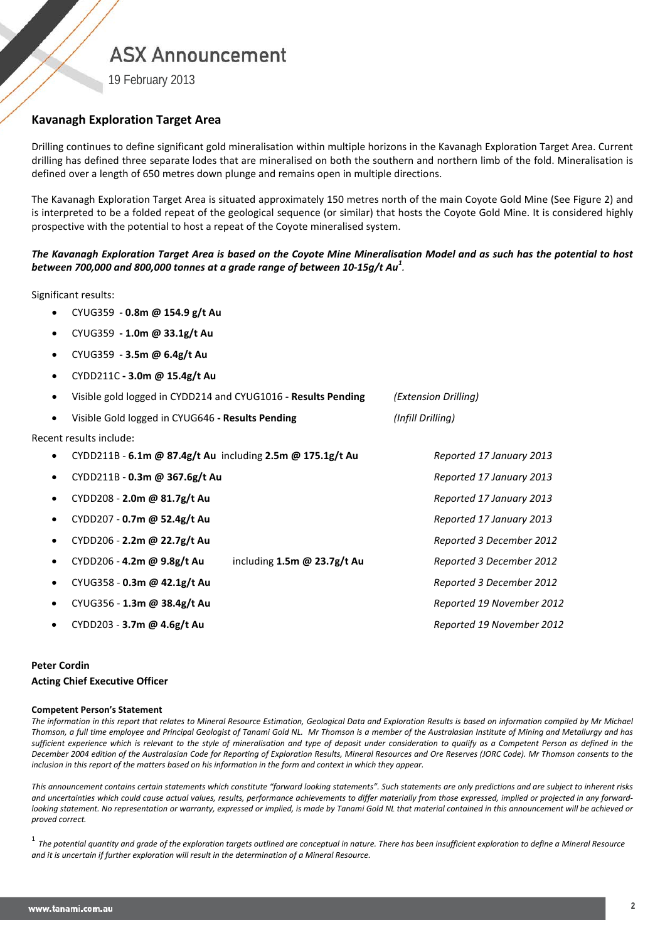## **ASX Announcement**

19 February 2013

## **Kavanagh Exploration Target Area**

Drilling continues to define significant gold mineralisation within multiple horizons in the Kavanagh Exploration Target Area. Current drilling has defined three separate lodes that are mineralised on both the southern and northern limb of the fold. Mineralisation is defined over a length of 650 metres down plunge and remains open in multiple directions.

The Kavanagh Exploration Target Area is situated approximately 150 metres north of the main Coyote Gold Mine (See Figure 2) and is interpreted to be a folded repeat of the geological sequence (or similar) that hosts the Coyote Gold Mine. It is considered highly prospective with the potential to host a repeat of the Coyote mineralised system.

## *The Kavanagh Exploration Target Area is based on the Coyote Mine Mineralisation Model and as such has the potential to host between 700,000 and 800,000 tonnes at a grade range of between 10-15g/t Au<sup>1</sup> .*

Significant results:

- CYUG359 **- 0.8m @ 154.9 g/t Au**
- CYUG359 **- 1.0m @ 33.1g/t Au**
- CYUG359 **- 3.5m @ 6.4g/t Au**
- CYDD211C **- 3.0m @ 15.4g/t Au**

|           | Visible gold logged in CYDD214 and CYUG1016 - Results Pending | (Extension Drilling)               |                          |                           |  |  |
|-----------|---------------------------------------------------------------|------------------------------------|--------------------------|---------------------------|--|--|
| $\bullet$ | Visible Gold logged in CYUG646 - Results Pending              | (Infill Drilling)                  |                          |                           |  |  |
|           | Recent results include:                                       |                                    |                          |                           |  |  |
|           | CYDD211B - 6.1m @ 87.4g/t Au including 2.5m @ 175.1g/t Au     |                                    | Reported 17 January 2013 |                           |  |  |
|           | CYDD211B - 0.3m @ 367.6g/t Au                                 |                                    | Reported 17 January 2013 |                           |  |  |
|           | CYDD208 - 2.0m @ 81.7g/t Au                                   |                                    |                          | Reported 17 January 2013  |  |  |
|           | CYDD207 - 0.7m @ 52.4g/t Au                                   |                                    |                          | Reported 17 January 2013  |  |  |
|           | CYDD206 - 2.2m @ 22.7g/t Au                                   |                                    |                          | Reported 3 December 2012  |  |  |
|           | CYDD206 - 4.2m @ 9.8g/t Au                                    | including $1.5m \omega$ 23.7g/t Au |                          | Reported 3 December 2012  |  |  |
|           | CYUG358 - 0.3m @ 42.1g/t Au                                   |                                    |                          | Reported 3 December 2012  |  |  |
|           | CYUG356 - 1.3m @ 38.4g/t Au                                   |                                    |                          | Reported 19 November 2012 |  |  |
|           | CYDD203 - 3.7m @ 4.6g/t Au                                    |                                    |                          | Reported 19 November 2012 |  |  |

### **Peter Cordin**

### **Acting Chief Executive Officer**

#### **Competent Person's Statement**

*The information in this report that relates to Mineral Resource Estimation, Geological Data and Exploration Results is based on information compiled by Mr Michael Thomson, a full time employee and Principal Geologist of Tanami Gold NL. Mr Thomson is a member of the Australasian Institute of Mining and Metallurgy and has sufficient experience which is relevant to the style of mineralisation and type of deposit under consideration to qualify as a Competent Person as defined in the December 2004 edition of the Australasian Code for Reporting of Exploration Results, Mineral Resources and Ore Reserves (JORC Code). Mr Thomson consents to the inclusion in this report of the matters based on his information in the form and context in which they appear.*

*This announcement contains certain statements which constitute "forward looking statements". Such statements are only predictions and are subject to inherent risks and uncertainties which could cause actual values, results, performance achievements to differ materially from those expressed, implied or projected in any forward*looking statement. No representation or warranty, expressed or implied, is made by Tanami Gold NL that material contained in this announcement will be achieved or *proved correct.*

<sup>1</sup> *The potential quantity and grade of the exploration targets outlined are conceptual in nature. There has been insufficient exploration to define a Mineral Resource and it is uncertain if further exploration will result in the determination of a Mineral Resource.*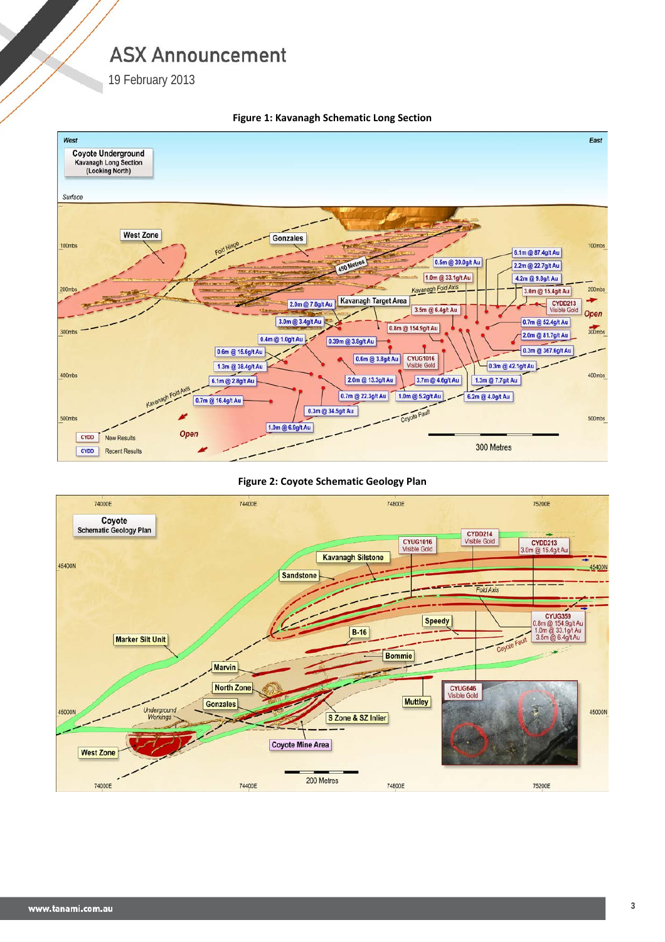# **ASX Announcement**

19 February 2013



### **Figure 1: Kavanagh Schematic Long Section**

### **Figure 2: Coyote Schematic Geology Plan**

![](_page_2_Figure_5.jpeg)